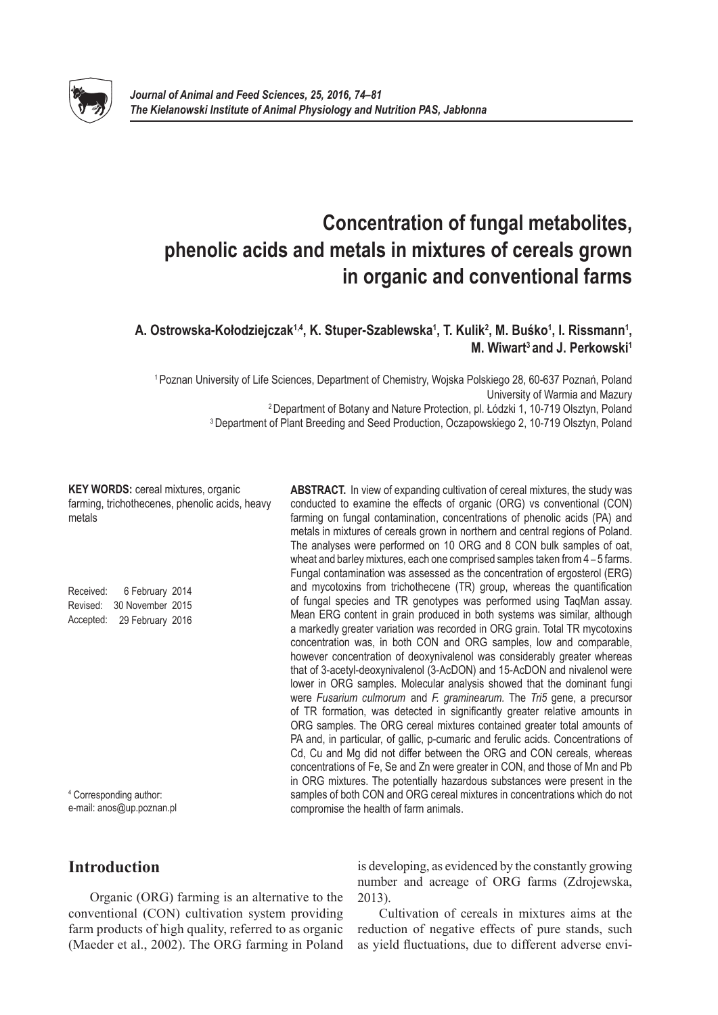

# **Concentration of fungal metabolites, phenolic acids and metals in mixtures of cereals grown in organic and conventional farms**

# **A. Ostrowska-Kołodziejczak1,4, K. Stuper-Szablewska<sup>1</sup> , T. Kulik2 , M. Buśko<sup>1</sup> , I. Rissmann1 , M. Wiwart3 and J. Perkowski1**

 Poznan University of Life Sciences, Department of Chemistry, Wojska Polskiego 28, 60-637 Poznań, Poland University of Warmia and Mazury Department of Botany and Nature Protection, pl. Łódzki 1, 10-719 Olsztyn, Poland Department of Plant Breeding and Seed Production, Oczapowskiego 2, 10-719 Olsztyn, Poland

**KEY WORDS: cereal mixtures, organic** farming, trichothecenes, phenolic acids, heavy metals

Received: 6 February 2014 Revised: 30 November 2015 Accepted: 29 February 2016

<sup>4</sup> Corresponding author: e-mail: anos@up.poznan.pl **ABSTRACT.** In view of expanding cultivation of cereal mixtures, the study was conducted to examine the effects of organic (ORG) vs conventional (CON) farming on fungal contamination, concentrations of phenolic acids (PA) and metals in mixtures of cereals grown in northern and central regions of Poland. The analyses were performed on 10 ORG and 8 CON bulk samples of oat, wheat and barley mixtures, each one comprised samples taken from 4 – 5 farms. Fungal contamination was assessed as the concentration of ergosterol (ERG) and mycotoxins from trichothecene (TR) group, whereas the quantification of fungal species and TR genotypes was performed using TaqMan assay. Mean ERG content in grain produced in both systems was similar, although a markedly greater variation was recorded in ORG grain. Total TR mycotoxins concentration was, in both CON and ORG samples, low and comparable, however concentration of deoxynivalenol was considerably greater whereas that of 3-acetyl-deoxynivalenol (3-AcDON) and 15-AcDON and nivalenol were lower in ORG samples. Molecular analysis showed that the dominant fungi were *Fusarium culmorum* and *F. graminearum.* The *Tri5* gene, a precursor of TR formation, was detected in significantly greater relative amounts in ORG samples. The ORG cereal mixtures contained greater total amounts of PA and, in particular, of gallic, p-cumaric and ferulic acids. Concentrations of Cd, Cu and Mg did not differ between the ORG and CON cereals, whereas concentrations of Fe, Se and Zn were greater in CON, and those of Mn and Pb in ORG mixtures. The potentially hazardous substances were present in the samples of both CON and ORG cereal mixtures in concentrations which do not compromise the health of farm animals.

# **Introduction**

Organic (ORG) farming is an alternative to the conventional (CON) cultivation system providing farm products of high quality, referred to as organic (Maeder et al., 2002). The ORG farming in Poland is developing, as evidenced by the constantly growing number and acreage of ORG farms (Zdrojewska, 2013).

Cultivation of cereals in mixtures aims at the reduction of negative effects of pure stands, such as yield fluctuations, due to different adverse envi-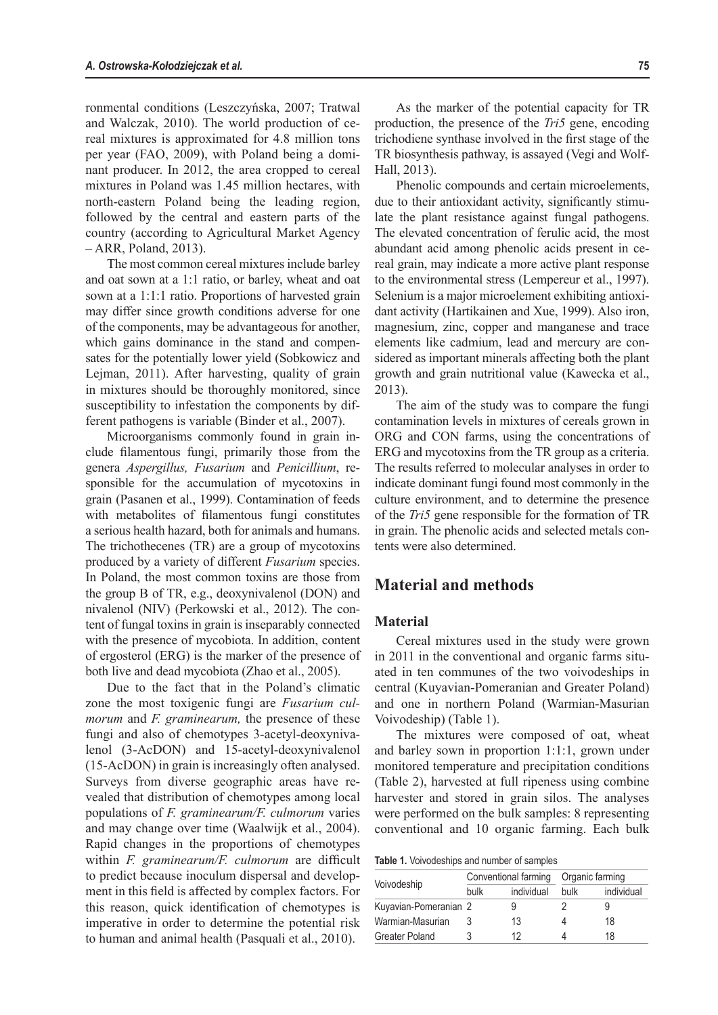ronmental conditions (Leszczyńska, 2007; Tratwal and Walczak, 2010). The world production of cereal mixtures is approximated for 4.8 million tons per year (FAO, 2009), with Poland being a dominant producer. In 2012, the area cropped to cereal mixtures in Poland was 1.45 million hectares, with north-eastern Poland being the leading region, followed by the central and eastern parts of the country (according to Agricultural Market Agency – ARR, Poland, 2013).

The most common cereal mixtures include barley and oat sown at a 1:1 ratio, or barley, wheat and oat sown at a 1:1:1 ratio. Proportions of harvested grain may differ since growth conditions adverse for one of the components, may be advantageous for another, which gains dominance in the stand and compensates for the potentially lower yield (Sobkowicz and Lejman, 2011). After harvesting, quality of grain in mixtures should be thoroughly monitored, since susceptibility to infestation the components by different pathogens is variable (Binder et al., 2007).

Microorganisms commonly found in grain include filamentous fungi, primarily those from the genera *Aspergillus, Fusarium* and *Penicillium*, responsible for the accumulation of mycotoxins in grain (Pasanen et al., 1999). Contamination of feeds with metabolites of filamentous fungi constitutes a serious health hazard, both for animals and humans. The trichothecenes (TR) are a group of mycotoxins produced by a variety of different *Fusarium* species. In Poland, the most common toxins are those from the group B of TR, e.g., deoxynivalenol (DON) and nivalenol (NIV) (Perkowski et al., 2012). The content of fungal toxins in grain is inseparably connected with the presence of mycobiota. In addition, content of ergosterol (ERG) is the marker of the presence of both live and dead mycobiota (Zhao et al., 2005).

Due to the fact that in the Poland's climatic zone the most toxigenic fungi are *Fusarium culmorum* and *F. graminearum,* the presence of these fungi and also of chemotypes 3-acetyl-deoxynivalenol (3-AcDON) and 15-acetyl-deoxynivalenol (15-AcDON) in grain is increasingly often analysed. Surveys from diverse geographic areas have revealed that distribution of chemotypes among local populations of *F. graminearum/F. culmorum* varies and may change over time (Waalwijk et al., 2004). Rapid changes in the proportions of chemotypes within *F. graminearum/F. culmorum* are difficult to predict because inoculum dispersal and development in this field is affected by complex factors. For this reason, quick identification of chemotypes is imperative in order to determine the potential risk to human and animal health (Pasquali et al., 2010).

As the marker of the potential capacity for TR production, the presence of the *Tri5* gene, encoding trichodiene synthase involved in the first stage of the TR biosynthesis pathway, is assayed (Vegi and Wolf-Hall, 2013).

Phenolic compounds and certain microelements, due to their antioxidant activity, significantly stimulate the plant resistance against fungal pathogens. The elevated concentration of ferulic acid, the most abundant acid among phenolic acids present in cereal grain, may indicate a more active plant response to the environmental stress (Lempereur et al., 1997). Selenium is a major microelement exhibiting antioxidant activity (Hartikainen and Xue, 1999). Also iron, magnesium, zinc, copper and manganese and trace elements like cadmium, lead and mercury are considered as important minerals affecting both the plant growth and grain nutritional value (Kawecka et al., 2013).

The aim of the study was to compare the fungi contamination levels in mixtures of cereals grown in ORG and CON farms, using the concentrations of ERG and mycotoxins from the TR group as a criteria. The results referred to molecular analyses in order to indicate dominant fungi found most commonly in the culture environment, and to determine the presence of the *Tri5* gene responsible for the formation of TR in grain. The phenolic acids and selected metals contents were also determined.

# **Material and methods**

#### **Material**

Cereal mixtures used in the study were grown in 2011 in the conventional and organic farms situated in ten communes of the two voivodeships in central (Kuyavian-Pomeranian and Greater Poland) and one in northern Poland (Warmian-Masurian Voivodeship) (Table 1).

The mixtures were composed of oat, wheat and barley sown in proportion 1:1:1, grown under monitored temperature and precipitation conditions (Table 2), harvested at full ripeness using combine harvester and stored in grain silos. The analyses were performed on the bulk samples: 8 representing conventional and 10 organic farming. Each bulk

**Table 1.** Voivodeships and number of samples

|                       |      | Conventional farming | Organic farming |            |  |
|-----------------------|------|----------------------|-----------------|------------|--|
| Voivodeship           | bulk | individual           | bulk            | individual |  |
| Kuyavian-Pomeranian 2 |      |                      |                 |            |  |
| Warmian-Masurian      |      | 13                   |                 | 18         |  |
| Greater Poland        |      | 12                   |                 | 18         |  |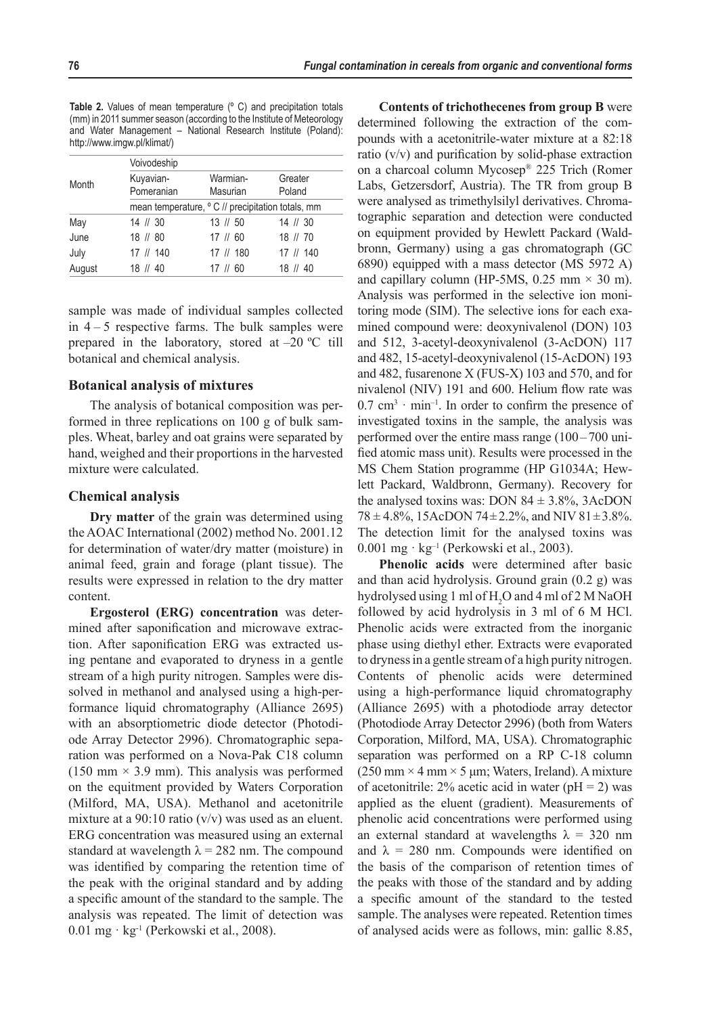**Table 2.** Values of mean temperature (º C) and precipitation totals (mm) in 2011 summer season (according to the Institute of Meteorology and Water Management – National Research Institute (Poland): http://www.imgw.pl/klimat/)

| Month  | Voivodeship             |                                                   |                   |  |  |  |  |  |
|--------|-------------------------|---------------------------------------------------|-------------------|--|--|--|--|--|
|        | Kuyavian-<br>Pomeranian | Warmian-<br>Masurian                              | Greater<br>Poland |  |  |  |  |  |
|        |                         | mean temperature, ° C // precipitation totals, mm |                   |  |  |  |  |  |
| May    | $14$ // 30              | $13 \# 50$                                        | $14$ // 30        |  |  |  |  |  |
| June   | $18$ // 80              | $17$ // 60                                        | 18 // 70          |  |  |  |  |  |
| July   | 17 // 140               | 17 // 180                                         | $17$ // 140       |  |  |  |  |  |
| August | $18$ // $40$            | $17 \# 60$                                        | -40<br>18 //      |  |  |  |  |  |

sample was made of individual samples collected in  $4 - 5$  respective farms. The bulk samples were prepared in the laboratory, stored at  $-20$  °C till botanical and chemical analysis.

#### **Botanical analysis of mixtures**

The analysis of botanical composition was performed in three replications on 100 g of bulk samples. Wheat, barley and oat grains were separated by hand, weighed and their proportions in the harvested mixture were calculated.

#### **Chemical analysis**

**Dry matter** of the grain was determined using the AOAC International (2002) method No. 2001.12 for determination of water/dry matter (moisture) in animal feed, grain and forage (plant tissue). The results were expressed in relation to the dry matter content.

**Ergosterol (ERG) concentration** was determined after saponification and microwave extraction. After saponification ERG was extracted using pentane and evaporated to dryness in a gentle stream of a high purity nitrogen. Samples were dissolved in methanol and analysed using a high-performance liquid chromatography (Alliance 2695) with an absorptiometric diode detector (Photodiode Array Detector 2996). Chromatographic separation was performed on a Nova-Pak C18 column  $(150 \text{ mm} \times 3.9 \text{ mm})$ . This analysis was performed on the equitment provided by Waters Corporation (Milford, MA, USA). Methanol and acetonitrile mixture at a 90:10 ratio  $(v/v)$  was used as an eluent. ERG concentration was measured using an external standard at wavelength  $\lambda = 282$  nm. The compound was identified by comparing the retention time of the peak with the original standard and by adding a specific amount of the standard to the sample. The analysis was repeated. The limit of detection was 0.01 mg · kg-1 (Perkowski et al., 2008).

**Contents of trichothecenes from group B** were determined following the extraction of the compounds with a acetonitrile-water mixture at a 82:18 ratio (v/v) and purification by solid-phase extraction on a charcoal column Mycosep® 225 Trich (Romer Labs, Getzersdorf, Austria). The TR from group B were analysed as trimethylsilyl derivatives. Chromatographic separation and detection were conducted on equipment provided by Hewlett Packard (Waldbronn, Germany) using a gas chromatograph (GC 6890) equipped with a mass detector (MS 5972 A) and capillary column (HP-5MS,  $0.25$  mm  $\times$  30 m). Analysis was performed in the selective ion monitoring mode (SIM). The selective ions for each examined compound were: deoxynivalenol (DON) 103 and 512, 3-acetyl-deoxynivalenol (3-AcDON) 117 and 482, 15-acetyl-deoxynivalenol (15-AcDON) 193 and 482, fusarenone X (FUS-X) 103 and 570, and for nivalenol (NIV) 191 and 600. Helium flow rate was  $0.7$  cm<sup>3</sup> · min<sup>-1</sup>. In order to confirm the presence of investigated toxins in the sample, the analysis was performed over the entire mass range (100– 700 unified atomic mass unit). Results were processed in the MS Chem Station programme (HP G1034A; Hewlett Packard, Waldbronn, Germany). Recovery for the analysed toxins was: DON  $84 \pm 3.8\%$ , 3AcDON  $78 \pm 4.8\%$ , 15AcDON  $74 \pm 2.2\%$ , and NIV  $81 \pm 3.8\%$ . The detection limit for the analysed toxins was 0.001 mg · kg–1 (Perkowski et al., 2003).

**Phenolic acids** were determined after basic and than acid hydrolysis. Ground grain (0.2 g) was hydrolysed using 1 ml of H<sub>2</sub>O and 4 ml of 2 M NaOH followed by acid hydrolysis in 3 ml of 6 M HCl. Phenolic acids were extracted from the inorganic phase using diethyl ether. Extracts were evaporated to dryness in a gentle stream of a high purity nitrogen. Contents of phenolic acids were determined using a high-performance liquid chromatography (Alliance 2695) with a photodiode array detector (Photodiode Array Detector 2996) (both from Waters Corporation, Milford, MA, USA). Chromatographic separation was performed on a RP C-18 column  $(250 \text{ mm} \times 4 \text{ mm} \times 5 \text{ \mu m})$ ; Waters, Ireland). A mixture of acetonitrile:  $2\%$  acetic acid in water (pH = 2) was applied as the eluent (gradient). Measurements of phenolic acid concentrations were performed using an external standard at wavelengths  $\lambda = 320$  nm and  $\lambda = 280$  nm. Compounds were identified on the basis of the comparison of retention times of the peaks with those of the standard and by adding a specific amount of the standard to the tested sample. The analyses were repeated. Retention times of analysed acids were as follows, min: gallic 8.85,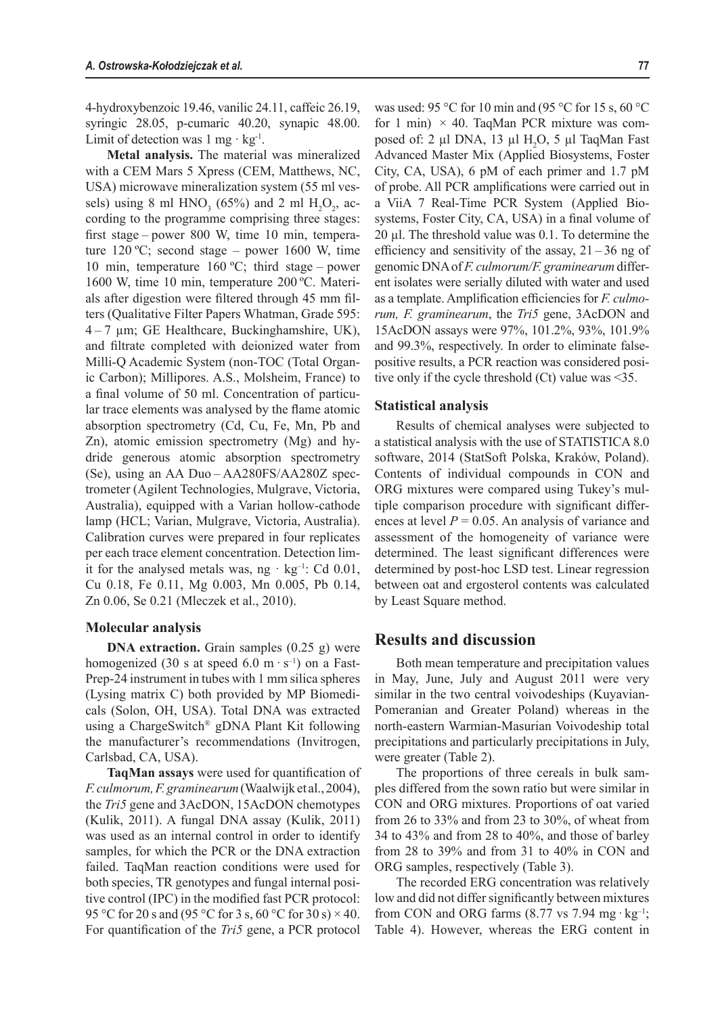4-hydroxybenzoic 19.46, vanilic 24.11, caffeic 26.19, syringic 28.05, p-cumaric 40.20, synapic 48.00. Limit of detection was  $1 \text{ mg} \cdot \text{kg}^{-1}$ .

**Metal analysis.** The material was mineralized with a CEM Mars 5 Xpress (CEM, Matthews, NC, USA) microwave mineralization system (55 ml vessels) using 8 ml  $HNO<sub>3</sub>$  (65%) and 2 ml  $H<sub>2</sub>O<sub>2</sub>$ , according to the programme comprising three stages: first stage – power 800 W, time 10 min, temperature 120 ºC; second stage – power 1600 W, time 10 min, temperature 160 ºC; third stage – power 1600 W, time 10 min, temperature 200 ºC. Materials after digestion were filtered through 45 mm filters (Qualitative Filter Papers Whatman, Grade 595:  $4 - 7 \mu m$ ; GE Healthcare, Buckinghamshire, UK), and filtrate completed with deionized water from Milli-Q Academic System (non-TOC (Total Organic Carbon); Millipores. A.S., Molsheim, France) to a final volume of 50 ml. Concentration of particular trace elements was analysed by the flame atomic absorption spectrometry (Cd, Cu, Fe, Mn, Pb and Zn), atomic emission spectrometry (Mg) and hydride generous atomic absorption spectrometry (Se), using an AA Duo – AA280FS/AA280Z spectrometer (Agilent Technologies, Mulgrave, Victoria, Australia), equipped with a Varian hollow-cathode lamp (HCL; Varian, Mulgrave, Victoria, Australia). Calibration curves were prepared in four replicates per each trace element concentration. Detection limit for the analysed metals was, ng  $\cdot$  kg<sup>-1</sup>: Cd 0.01, Cu 0.18, Fe 0.11, Mg 0.003, Mn 0.005, Pb 0.14, Zn 0.06, Se 0.21 (Mleczek et al., 2010).

#### **Molecular analysis**

**DNA extraction.** Grain samples (0.25 g) were homogenized (30 s at speed 6.0 m $\cdot$  s<sup>-1</sup>) on a Fast-Prep-24 instrument in tubes with 1 mm silica spheres (Lysing matrix C) both provided by MP Biomedicals (Solon, OH, USA). Total DNA was extracted using a ChargeSwitch® gDNA Plant Kit following the manufacturer's recommendations (Invitrogen, Carlsbad, CA, USA).

**TaqMan assays** were used for quantification of *F. culmorum, F.graminearum* (Waalwijk et al., 2004), the *Tri5* gene and 3AcDON, 15AcDON chemotypes (Kulik, 2011). A fungal DNA assay (Kulik, 2011) was used as an internal control in order to identify samples, for which the PCR or the DNA extraction failed. TaqMan reaction conditions were used for both species, TR genotypes and fungal internal positive control (IPC) in the modified fast PCR protocol: 95 °C for 20 s and (95 °C for 3 s, 60 °C for 30 s)  $\times$  40. For quantification of the *Tri5* gene, a PCR protocol

was used: 95 °C for 10 min and (95 °C for 15 s, 60 °C for 1 min)  $\times$  40. TaqMan PCR mixture was composed of: 2  $\mu$ l DNA, 13  $\mu$ l H<sub>2</sub>O, 5  $\mu$ l TaqMan Fast Advanced Master Mix (Applied Biosystems, Foster City, CA, USA), 6 pM of each primer and 1.7 pM of probe. All PCR amplifications were carried out in a ViiA 7 Real-Time PCR System (Applied Biosystems, Foster City, CA, USA) in a final volume of 20 µl. The threshold value was 0.1. To determine the efficiency and sensitivity of the assay,  $21 - 36$  ng of genomic DNA of *F. culmorum/F. graminearum* different isolates were serially diluted with water and used as a template. Amplification efficiencies for *F. culmorum, F. graminearum*, the *Tri5* gene, 3AcDON and 15AcDON assays were 97%, 101.2%, 93%, 101.9% and 99.3%, respectively. In order to eliminate falsepositive results, a PCR reaction was considered positive only if the cycle threshold (Ct) value was <35.

#### **Statistical analysis**

Results of chemical analyses were subjected to a statistical analysis with the use of STATISTICA 8.0 software, 2014 (StatSoft Polska, Kraków, Poland). Contents of individual compounds in CON and ORG mixtures were compared using Tukey's multiple comparison procedure with significant differences at level  $P = 0.05$ . An analysis of variance and assessment of the homogeneity of variance were determined. The least significant differences were determined by post-hoc LSD test. Linear regression between oat and ergosterol contents was calculated by Least Square method.

### **Results and discussion**

Both mean temperature and precipitation values in May, June, July and August 2011 were very similar in the two central voivodeships (Kuyavian-Pomeranian and Greater Poland) whereas in the north-eastern Warmian-Masurian Voivodeship total precipitations and particularly precipitations in July, were greater (Table 2).

The proportions of three cereals in bulk samples differed from the sown ratio but were similar in CON and ORG mixtures. Proportions of oat varied from 26 to 33% and from 23 to 30%, of wheat from 34 to 43% and from 28 to 40%, and those of barley from 28 to 39% and from 31 to 40% in CON and ORG samples, respectively (Table 3).

The recorded ERG concentration was relatively low and did not differ significantly between mixtures from CON and ORG farms  $(8.77 \text{ vs } 7.94 \text{ mg} \cdot \text{kg}^{-1})$ ; Table 4). However, whereas the ERG content in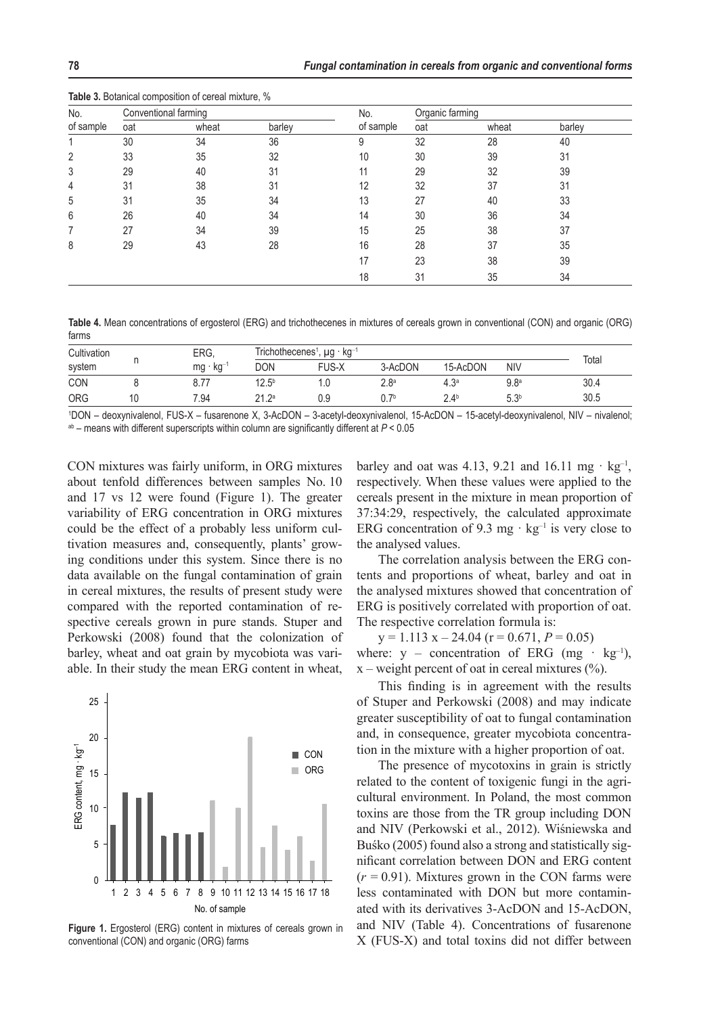| No.<br>of sample<br>$\overline{2}$<br>3<br>4<br>5<br>6<br>8 |     | Conventional farming |        | No.       | Organic farming |       |        |  |
|-------------------------------------------------------------|-----|----------------------|--------|-----------|-----------------|-------|--------|--|
|                                                             | oat | wheat                | barley | of sample | oat             | wheat | barley |  |
|                                                             | 30  | 34                   | 36     | 9         | 32              | 28    | 40     |  |
|                                                             | 33  | 35                   | 32     | 10        | 30              | 39    | 31     |  |
|                                                             | 29  | 40                   | 31     | 11        | 29              | 32    | 39     |  |
|                                                             | 31  | 38                   | 31     | 12        | 32              | 37    | 31     |  |
|                                                             | 31  | 35                   | 34     | 13        | 27              | 40    | 33     |  |
|                                                             | 26  | 40                   | 34     | 14        | 30              | 36    | 34     |  |
|                                                             | 27  | 34                   | 39     | 15        | 25              | 38    | 37     |  |
|                                                             | 29  | 43                   | 28     | 16        | 28              | 37    | 35     |  |
|                                                             |     |                      |        | 17        | 23              | 38    | 39     |  |
|                                                             |     |                      |        | 18        | 31              | 35    | 34     |  |

**Table 3.** Botanical composition of cereal mixture, %

**Table 4.** Mean concentrations of ergosterol (ERG) and trichothecenes in mixtures of cereals grown in conventional (CON) and organic (ORG) farms

| Cultivation | <b>ERG</b> |                   | Trichothecenes <sup>1</sup> .<br>∴, µg · kg <sup>⊸</sup> |                  |               |                  |       |  |
|-------------|------------|-------------------|----------------------------------------------------------|------------------|---------------|------------------|-------|--|
| system      | kg⊤'<br>mg | <b>DON</b>        | FUS-X                                                    | 3-AcDON          | 15-AcDON      | <b>NIV</b>       | Total |  |
| CON         | 8.77       | 12.5 <sup>b</sup> | . .U                                                     | 2.8 <sup>a</sup> | 2a            | $9.8^{\rm a}$    | 30.4  |  |
| <b>ORG</b>  | 7.94       | 212a<br>2 I .Z    | 0.9                                                      | ∩ 7b             | $2.4^{\circ}$ | 5.3 <sup>b</sup> | 30.5  |  |

1 DON – deoxynivalenol, FUS-X – fusarenone X, 3-AcDON – 3-acetyl-deoxynivalenol, 15-AcDON – 15-acetyl-deoxynivalenol, NIV – nivalenol; ab – means with different superscripts within column are significantly different at *P* < 0.05

CON mixtures was fairly uniform, in ORG mixtures about tenfold differences between samples No. 10 and 17 vs 12 were found (Figure 1). The greater variability of ERG concentration in ORG mixtures could be the effect of a probably less uniform cultivation measures and, consequently, plants' growing conditions under this system. Since there is no data available on the fungal contamination of grain in cereal mixtures, the results of present study were compared with the reported contamination of respective cereals grown in pure stands. Stuper and Perkowski (2008) found that the colonization of barley, wheat and oat grain by mycobiota was variable. In their study the mean ERG content in wheat,



**Figure 1.** Ergosterol (ERG) content in mixtures of cereals grown in conventional (CON) and organic (ORG) farms

barley and oat was 4.13, 9.21 and 16.11 mg  $\cdot$  kg<sup>-1</sup>, respectively. When these values were applied to the cereals present in the mixture in mean proportion of 37:34:29, respectively, the calculated approximate ERG concentration of 9.3 mg  $\cdot$  kg<sup>-1</sup> is very close to the analysed values.

The correlation analysis between the ERG contents and proportions of wheat, barley and oat in the analysed mixtures showed that concentration of ERG is positively correlated with proportion of oat. The respective correlation formula is:

 $y = 1.113$   $x - 24.04$  ( $r = 0.671$ ,  $P = 0.05$ ) where:  $y -$  concentration of ERG (mg  $·$  kg<sup>-1</sup>),  $x$  – weight percent of oat in cereal mixtures  $(\% )$ .

This finding is in agreement with the results of Stuper and Perkowski (2008) and may indicate greater susceptibility of oat to fungal contamination and, in consequence, greater mycobiota concentration in the mixture with a higher proportion of oat.

The presence of mycotoxins in grain is strictly related to the content of toxigenic fungi in the agricultural environment. In Poland, the most common toxins are those from the TR group including DON and NIV (Perkowski et al., 2012). Wiśniewska and Buśko (2005) found also a strong and statistically significant correlation between DON and ERG content  $(r = 0.91)$ . Mixtures grown in the CON farms were less contaminated with DON but more contaminated with its derivatives 3-AcDON and 15-AcDON, and NIV (Table 4). Concentrations of fusarenone X (FUS-X) and total toxins did not differ between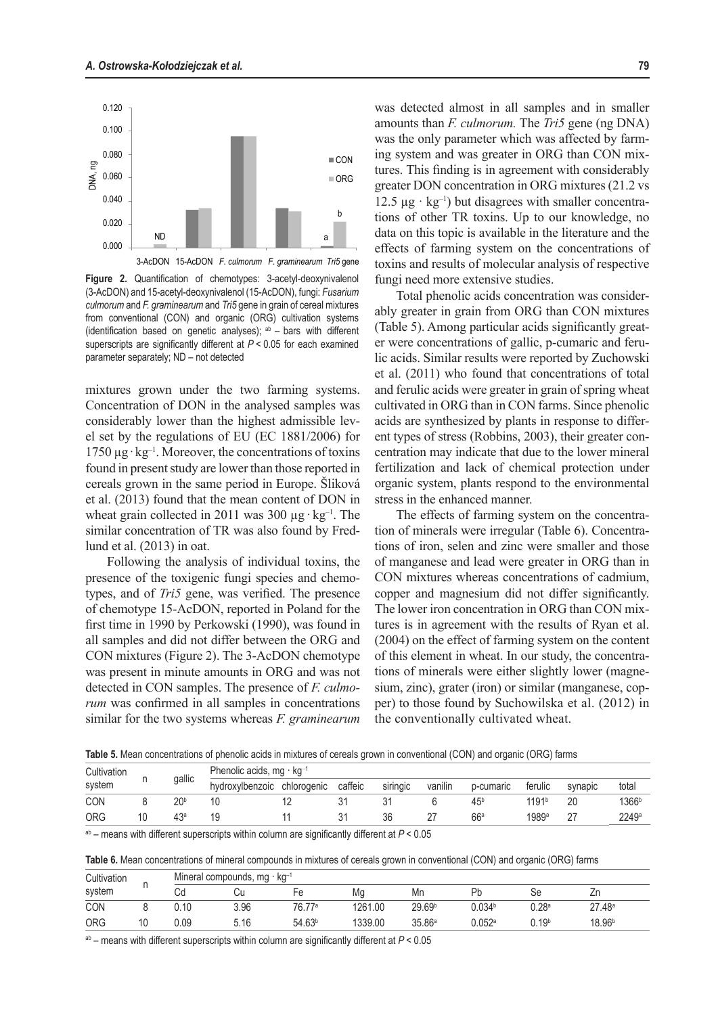

**Figure 2.** Quantification of chemotypes: 3-acetyl-deoxynivalenol (3-AcDON) and 15-acetyl-deoxynivalenol (15-AcDON), fungi: *Fusarium culmorum* and *F. graminearum* and *Tri5* gene in grain of cereal mixtures from conventional (CON) and organic (ORG) cultivation systems (identification based on genetic analyses);  $ab - b$ ars with different superscripts are significantly different at *P* < 0.05 for each examined parameter separately; ND – not detected

mixtures grown under the two farming systems. Concentration of DON in the analysed samples was considerably lower than the highest admissible level set by the regulations of EU (EC 1881/2006) for 1750  $\mu$ g·kg<sup>-1</sup>. Moreover, the concentrations of toxins found in present study are lower than those reported in cereals grown in the same period in Europe. Šliková et al. (2013) found that the mean content of DON in wheat grain collected in 2011 was 300  $\mu$ g · kg<sup>-1</sup>. The similar concentration of TR was also found by Fredlund et al. (2013) in oat.

Following the analysis of individual toxins, the presence of the toxigenic fungi species and chemotypes, and of *Tri5* gene, was verified. The presence of chemotype 15-AcDON, reported in Poland for the first time in 1990 by Perkowski (1990), was found in all samples and did not differ between the ORG and CON mixtures (Figure 2). The 3-AcDON chemotype was present in minute amounts in ORG and was not detected in CON samples. The presence of *F. culmorum* was confirmed in all samples in concentrations similar for the two systems whereas *F. graminearum* 

was detected almost in all samples and in smaller amounts than *F. culmorum.* The *Tri5* gene (ng DNA) was the only parameter which was affected by farming system and was greater in ORG than CON mixtures. This finding is in agreement with considerably greater DON concentration in ORG mixtures (21.2 vs 12.5  $\mu$ g · kg<sup>-1</sup>) but disagrees with smaller concentrations of other TR toxins. Up to our knowledge, no data on this topic is available in the literature and the effects of farming system on the concentrations of toxins and results of molecular analysis of respective fungi need more extensive studies.

Total phenolic acids concentration was considerably greater in grain from ORG than CON mixtures (Table 5). Among particular acids significantly greater were concentrations of gallic, p-cumaric and ferulic acids. Similar results were reported by Zuchowski et al. (2011) who found that concentrations of total and ferulic acids were greater in grain of spring wheat cultivated in ORG than in CON farms. Since phenolic acids are synthesized by plants in response to different types of stress (Robbins, 2003), their greater concentration may indicate that due to the lower mineral fertilization and lack of chemical protection under organic system, plants respond to the environmental stress in the enhanced manner.

The effects of farming system on the concentration of minerals were irregular (Table 6). Concentrations of iron, selen and zinc were smaller and those of manganese and lead were greater in ORG than in CON mixtures whereas concentrations of cadmium, copper and magnesium did not differ significantly. The lower iron concentration in ORG than CON mixtures is in agreement with the results of Ryan et al. (2004) on the effect of farming system on the content of this element in wheat. In our study, the concentrations of minerals were either slightly lower (magnesium, zinc), grater (iron) or similar (manganese, copper) to those found by Suchowilska et al. (2012) in the conventionally cultivated wheat.

**Table 5.** Mean concentrations of phenolic acids in mixtures of cereals grown in conventional (CON) and organic (ORG) farms

| Cultivation<br>system | qallic          | Phenolic acids, $mq \cdot kq^{-1}$ |             |         |          |         |                 |                   |         |                   |
|-----------------------|-----------------|------------------------------------|-------------|---------|----------|---------|-----------------|-------------------|---------|-------------------|
|                       |                 | hydroxylbenzoic                    | chlorogenic | caffeic | siringic | vanilin | p-cumaric       | ferulic           | synapic | total             |
| <b>CON</b>            | $20^{\rm b}$    |                                    |             |         |          |         | 45 <sup>b</sup> | 1191 <sup>b</sup> |         | 1366 <sup>b</sup> |
| ORG                   | 43 <sup>°</sup> |                                    |             |         | 36       |         | 66 <sup>3</sup> | 1989ª             | ▵       | 2249a             |

ab – means with different superscripts within column are significantly different at *P* < 0.05

**Table 6.** Mean concentrations of mineral compounds in mixtures of cereals grown in conventional (CON) and organic (ORG) farms

| Cultivation<br>system |      | Mineral compounds, mg $\cdot$ kg <sup>-1</sup> |                    |         |                    |                 |          |                    |  |  |
|-----------------------|------|------------------------------------------------|--------------------|---------|--------------------|-----------------|----------|--------------------|--|--|
|                       | Cd   | Cυ                                             | Fе                 | Mg      | Mn                 | Pb              | Se       | ۷r                 |  |  |
| CON                   | 0.10 | 3.96                                           | 76.77ª             | 1261.00 | 29.69 <sup>b</sup> | $0.034^{\rm b}$ | $0.28$ a | 27.48a             |  |  |
| <b>ORG</b>            | 0.09 | 5.16                                           | 54.63 <sup>b</sup> | 1339.00 | 35.86a             | $0.052$ a       | n 19þ    | 18.96 <sup>b</sup> |  |  |

ab – means with different superscripts within column are significantly different at *P* < 0.05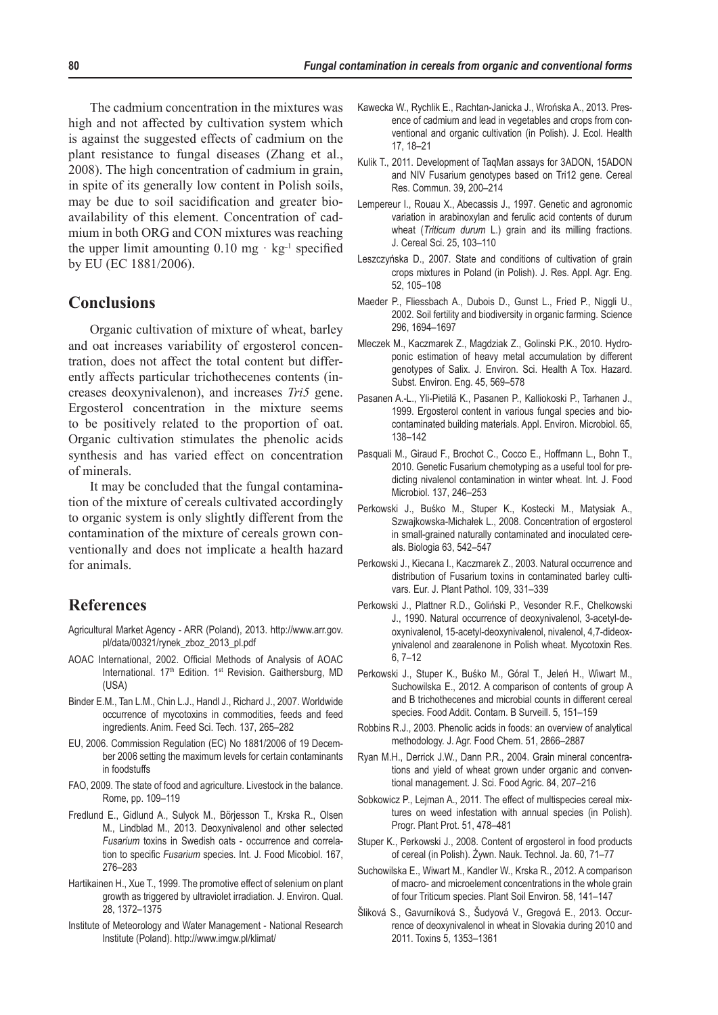The cadmium concentration in the mixtures was high and not affected by cultivation system which is against the suggested effects of cadmium on the plant resistance to fungal diseases (Zhang et al., 2008). The high concentration of cadmium in grain, in spite of its generally low content in Polish soils, may be due to soil sacidification and greater bioavailability of this element. Concentration of cadmium in both ORG and CON mixtures was reaching the upper limit amounting  $0.10 \text{ mg} \cdot \text{kg}^{-1}$  specified by EU (EC 1881/2006).

# **Conclusions**

Organic cultivation of mixture of wheat, barley and oat increases variability of ergosterol concentration, does not affect the total content but differently affects particular trichothecenes contents (increases deoxynivalenon), and increases *Tri5* gene. Ergosterol concentration in the mixture seems to be positively related to the proportion of oat. Organic cultivation stimulates the phenolic acids synthesis and has varied effect on concentration of minerals.

It may be concluded that the fungal contamination of the mixture of cereals cultivated accordingly to organic system is only slightly different from the contamination of the mixture of cereals grown conventionally and does not implicate a health hazard for animals.

# **References**

- Agricultural Market Agency ARR (Poland), 2013. http://www.arr.gov. pl/data/00321/rynek\_zboz\_2013\_pl.pdf
- AOAC International, 2002. Official Methods of Analysis of AOAC International. 17<sup>th</sup> Edition. 1<sup>st</sup> Revision. Gaithersburg, MD (USA)
- Binder E.M., Tan L.M., Chin L.J., Handl J., Richard J., 2007. Worldwide occurrence of mycotoxins in commodities, feeds and feed ingredients. Anim. Feed Sci. Tech. 137, 265–282
- EU, 2006. Commission Regulation (EC) No 1881/2006 of 19 December 2006 setting the maximum levels for certain contaminants in foodstuffs
- FAO, 2009. The state of food and agriculture. Livestock in the balance. Rome, pp. 109–119
- Fredlund E., Gidlund A., Sulyok M., Börjesson T., Krska R., Olsen M., Lindblad M., 2013. Deoxynivalenol and other selected *Fusarium* toxins in Swedish oats - occurrence and correlation to specific *Fusarium* species. Int. J. Food Micobiol. 167, 276–283
- Hartikainen H., Xue T., 1999. The promotive effect of selenium on plant growth as triggered by ultraviolet irradiation. J. Environ. Qual. 28, 1372–1375
- Institute of Meteorology and Water Management National Research Institute (Poland). http://www.imgw.pl/klimat/
- Kawecka W., Rychlik E., Rachtan-Janicka J., Wrońska A., 2013. Presence of cadmium and lead in vegetables and crops from conventional and organic cultivation (in Polish). J. Ecol. Health 17, 18–21
- Kulik T., 2011. Development of TaqMan assays for 3ADON, 15ADON and NIV Fusarium genotypes based on Tri12 gene. Cereal Res. Commun. 39, 200–214
- Lempereur I., Rouau X., Abecassis J., 1997. Genetic and agronomic variation in arabinoxylan and ferulic acid contents of durum wheat (*Triticum durum* L.) grain and its milling fractions. J. Cereal Sci. 25, 103–110
- Leszczyńska D., 2007. State and conditions of cultivation of grain crops mixtures in Poland (in Polish). J. Res. Appl. Agr. Eng. 52, 105–108
- Maeder P., Fliessbach A., Dubois D., Gunst L., Fried P., Niggli U., 2002. Soil fertility and biodiversity in organic farming. Science 296, 1694–1697
- Mleczek M., Kaczmarek Z., Magdziak Z., Golinski P.K., 2010. Hydroponic estimation of heavy metal accumulation by different genotypes of Salix. J. Environ. Sci. Health A Tox. Hazard. Subst. Environ. Eng. 45, 569–578
- Pasanen A.-L., Yli-Pietilä K., Pasanen P., Kalliokoski P., Tarhanen J., 1999. Ergosterol content in various fungal species and biocontaminated building materials. Appl. Environ. Microbiol. 65, 138–142
- Pasquali M., Giraud F., Brochot C., Cocco E., Hoffmann L., Bohn T., 2010. Genetic Fusarium chemotyping as a useful tool for predicting nivalenol contamination in winter wheat. Int. J. Food Microbiol. 137, 246–253
- Perkowski J., Buśko M., Stuper K., Kostecki M., Matysiak A., Szwajkowska-Michałek L., 2008. Concentration of ergosterol in small-grained naturally contaminated and inoculated cereals. Biologia 63, 542–547
- Perkowski J., Kiecana I., Kaczmarek Z., 2003. Natural occurrence and distribution of Fusarium toxins in contaminated barley cultivars. Eur. J. Plant Pathol. 109, 331–339
- Perkowski J., Plattner R.D., Goliński P., Vesonder R.F., Chelkowski J., 1990. Natural occurrence of deoxynivalenol, 3-acetyl-deoxynivalenol, 15-acetyl-deoxynivalenol, nivalenol, 4,7-dideoxynivalenol and zearalenone in Polish wheat. Mycotoxin Res. 6, 7–12
- Perkowski J., Stuper K., Buśko M., Góral T., Jeleń H., Wiwart M., Suchowilska E., 2012. A comparison of contents of group A and B trichothecenes and microbial counts in different cereal species. Food Addit. Contam. B Surveill. 5, 151–159
- Robbins R.J., 2003. Phenolic acids in foods: an overview of analytical methodology. J. Agr. Food Chem. 51, 2866–2887
- Ryan M.H., Derrick J.W., Dann P.R., 2004. Grain mineral concentrations and yield of wheat grown under organic and conventional management. J. Sci. Food Agric. 84, 207–216
- Sobkowicz P., Lejman A., 2011. The effect of multispecies cereal mixtures on weed infestation with annual species (in Polish). Progr. Plant Prot. 51, 478–481
- Stuper K., Perkowski J., 2008. Content of ergosterol in food products of cereal (in Polish). Żywn. Nauk. Technol. Ja. 60, 71–77
- Suchowilska E., Wiwart M., Kandler W., Krska R., 2012. A comparison of macro- and microelement concentrations in the whole grain of four Triticum species. Plant Soil Environ. 58, 141–147
- Šliková S., Gavurníková S., Šudyová V., Gregová E., 2013. Occurrence of deoxynivalenol in wheat in Slovakia during 2010 and 2011. Toxins 5, 1353–1361